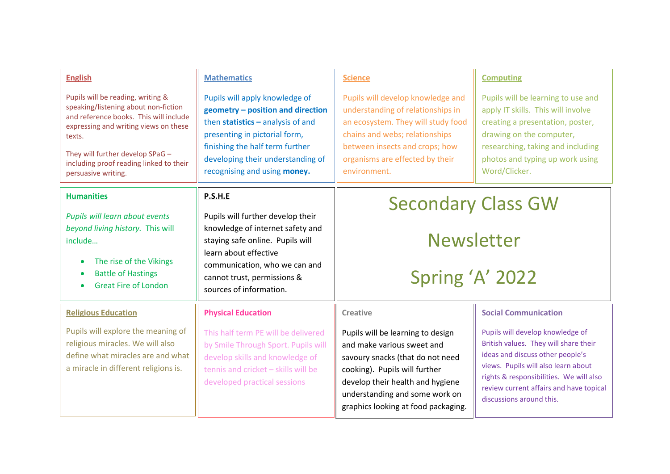| <b>English</b>                                                                                                                                                                                                                                                               | <b>Mathematics</b>                                                                                                                                                                                                                                  | <b>Science</b>                                                                                                                                                                                                                                    | <b>Computing</b>                                                                                                                                                                                                                                                       |  |
|------------------------------------------------------------------------------------------------------------------------------------------------------------------------------------------------------------------------------------------------------------------------------|-----------------------------------------------------------------------------------------------------------------------------------------------------------------------------------------------------------------------------------------------------|---------------------------------------------------------------------------------------------------------------------------------------------------------------------------------------------------------------------------------------------------|------------------------------------------------------------------------------------------------------------------------------------------------------------------------------------------------------------------------------------------------------------------------|--|
| Pupils will be reading, writing &<br>speaking/listening about non-fiction<br>and reference books. This will include<br>expressing and writing views on these<br>texts.<br>They will further develop SPaG -<br>including proof reading linked to their<br>persuasive writing. | Pupils will apply knowledge of<br>geometry - position and direction<br>then statistics $-$ analysis of and<br>presenting in pictorial form,<br>finishing the half term further<br>developing their understanding of<br>recognising and using money. | Pupils will develop knowledge and<br>understanding of relationships in<br>an ecosystem. They will study food<br>chains and webs; relationships<br>between insects and crops; how<br>organisms are effected by their<br>environment.               | Pupils will be learning to use and<br>apply IT skills. This will involve<br>creating a presentation, poster,<br>drawing on the computer,<br>researching, taking and including<br>photos and typing up work using<br>Word/Clicker.                                      |  |
| <b>Humanities</b>                                                                                                                                                                                                                                                            | P.S.H.E                                                                                                                                                                                                                                             | <b>Secondary Class GW</b>                                                                                                                                                                                                                         |                                                                                                                                                                                                                                                                        |  |
| Pupils will learn about events<br>beyond living history. This will<br>include<br>The rise of the Vikings<br><b>Battle of Hastings</b><br><b>Great Fire of London</b>                                                                                                         | Pupils will further develop their<br>knowledge of internet safety and<br>staying safe online. Pupils will<br>learn about effective<br>communication, who we can and<br>cannot trust, permissions &<br>sources of information.                       |                                                                                                                                                                                                                                                   | <b>Newsletter</b><br>Spring 'A' 2022                                                                                                                                                                                                                                   |  |
| <b>Religious Education</b>                                                                                                                                                                                                                                                   | <b>Physical Education</b>                                                                                                                                                                                                                           | <b>Creative</b>                                                                                                                                                                                                                                   | <b>Social Communication</b>                                                                                                                                                                                                                                            |  |
| Pupils will explore the meaning of<br>religious miracles. We will also<br>define what miracles are and what<br>a miracle in different religions is.                                                                                                                          | This half term PE will be delivered<br>by Smile Through Sport. Pupils will<br>develop skills and knowledge of<br>tennis and cricket - skills will be<br>developed practical sessions                                                                | Pupils will be learning to design<br>and make various sweet and<br>savoury snacks (that do not need<br>cooking). Pupils will further<br>develop their health and hygiene<br>understanding and some work on<br>graphics looking at food packaging. | Pupils will develop knowledge of<br>British values. They will share their<br>ideas and discuss other people's<br>views. Pupils will also learn about<br>rights & responsibilities. We will also<br>review current affairs and have topical<br>discussions around this. |  |